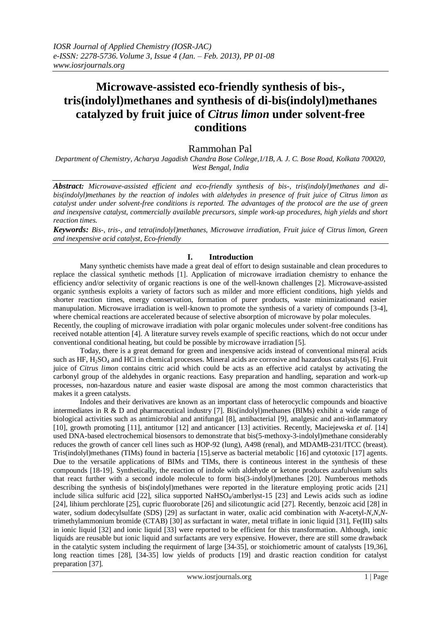# **Microwave-assisted eco-friendly synthesis of bis-, tris(indolyl)methanes and synthesis of di-bis(indolyl)methanes catalyzed by fruit juice of** *Citrus limon* **under solvent-free conditions**

# Rammohan Pal

*Department of Chemistry, Acharya Jagadish Chandra Bose College,1/1B, A. J. C. Bose Road, Kolkata 700020, West Bengal, India*

*Abstract: Microwave-assisted efficient and eco-friendly synthesis of bis-, tris(indolyl)methanes and dibis(indolyl)methanes by the reaction of indoles with aldehydes in presence of fruit juice of Citrus limon as catalyst under under solvent-free conditions is reported. The advantages of the protocol are the use of green and inexpensive catalyst, commercially available precursors, simple work-up procedures, high yields and short reaction times.*

*Keywords: Bis-, tris-, and tetra(indolyl)methanes, Microwave irradiation, Fruit juice of Citrus limon, Green and inexpensive acid catalyst, Eco-friendly*

# **I. Introduction**

Many synthetic chemists have made a great deal of effort to design sustainable and clean procedures to replace the classical synthetic methods [1]. Application of microwave irradiation chemistry to enhance the efficiency and/or selectivity of organic reactions is one of the well-known challenges [2]. Microwave-assisted organic synthesis exploits a variety of factors such as milder and more efficient conditions, high yields and shorter reaction times, energy conservation, formation of purer products, waste minimizationand easier manupulation. Microwave irradiation is well-known to promote the synthesis of a variety of compounds [3-4], where chemical reactions are accelerated because of selective absorption of microwave by polar molecules. Recently, the coupling of microwave irradiation with polar organic molecules under solvent-free conditions has

received notable attention [4]. A literature survey revels example of specific reactions, which do not occur under conventional conditional heating, but could be possible by microwave irradiation [5].

Today, there is a great demand for green and inexpensive acids instead of conventional mineral acids such as HF, H<sub>2</sub>SO<sub>4</sub> and HCl in chemical processes. Mineral acids are corrosive and hazardous catalysts [6]. Fruit juice of *Citrus limon* contains citric acid which could be acts as an effective acid catalyst by activating the carbonyl group of the aldehydes in organic reactions. Easy preparation and handling, separation and work-up processes, non-hazardous nature and easier waste disposal are among the most common characteristics that makes it a green catalysts.

Indoles and their derivatives are known as an important class of heterocyclic compounds and bioactive intermediates in R & D and pharmaceutical industry [7]. Bis(indolyl)methanes (BIMs) exhibit a wide range of biological activities such as antimicrobial and antifungal [8], antibacterial [9], analgesic and anti-inflammatory [10], growth promoting [11], antitumor [12] and anticancer [13] activities. Recently, Maciejewska *et al*. [14] used DNA-based electrochemical biosensors to demonstrate that bis(5-methoxy-3-indolyl)methane considerably reduces the growth of cancer cell lines such as HOP-92 (lung), A498 (renal), and MDAMB-231/ITCC (breast). Tris(indolyl)methanes (TIMs) found in bacteria [15].serve as bacterial metabolic [16] and cytotoxic [17] agents. Due to the versatile applications of BIMs and TIMs, there is contineous interest in the synthesis of these compounds [18-19]. Synthetically, the reaction of indole with aldehyde or ketone produces azafulvenium salts that react further with a second indole molecule to form bis(3-indolyl)methanes [20]. Numberous methods describing the synthesis of bis(indolyl)methanes were reported in the literature employing protic acids [21] include silica sulfuric acid  $[22]$ , silica supported NaHSO<sub>4</sub>/amberlyst-15  $[23]$  and Lewis acids such as iodine [24], lihium perchlorate [25], cupric fluoroborate [26] and silicotungtic acid [27]. Recently, benzoic acid [28] in water, sodium dodecylsulfate (SDS) [29] as surfactant in water, oxalic acid combination with *N*-acetyl-*N,N,N*trimethylammonium bromide (CTAB) [30] as surfactant in water, metal triflate in ionic liquid [31], Fe(III) salts in ionic liquid [32] and ionic liquid [33] were reported to be efficient for this transformation. Although, ionic liquids are reusable but ionic liquid and surfactants are very expensive. However, there are still some drawback in the catalytic system including the requirment of large [34-35], or stoichiometric amount of catalysts [19,36], long reaction times [28], [34-35] low yields of products [19] and drastic reaction condition for catalyst preparation [37].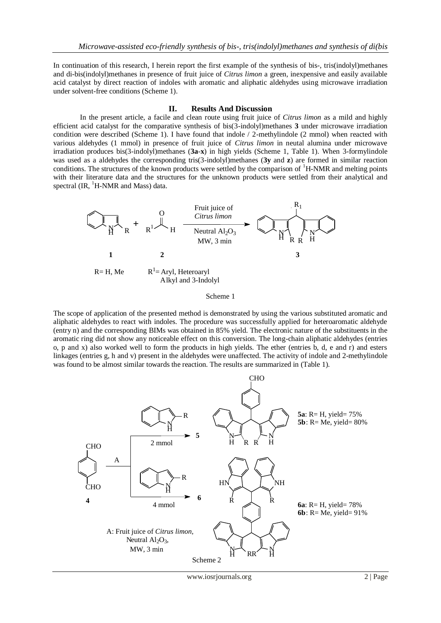In continuation of this research, I herein report the first example of the synthesis of bis-, tris(indolyl)methanes and di-bis(indolyl)methanes in presence of fruit juice of *Citrus limon* a green, inexpensive and easily available acid catalyst by direct reaction of indoles with aromatic and aliphatic aldehydes using microwave irradiation under solvent-free conditions (Scheme 1).

### **II. Results And Discussion**

In the present article, a facile and clean route using fruit juice of *Citrus limon* as a mild and highly efficient acid catalyst for the comparative synthesis of bis(3-indolyl)methanes **3** under microwave irradiation condition were described (Scheme 1). I have found that indole / 2-methylindole (2 mmol) when reacted with various aldehydes (1 mmol) in presence of fruit juice of *Citrus limon* in neutal alumina under microwave irradiation produces bis(3-indolyl)methanes (**3a**-**x**) in high yields (Scheme 1, Table 1). When 3-formylindole was used as a aldehydes the corresponding tris(3-indolyl)methanes (**3y** and **z**) are formed in similar reaction conditions. The structures of the known products were settled by the comparison of <sup>1</sup>H-NMR and melting points with their literature data and the structures for the unknown products were settled from their analytical and spectral  $(\text{IR}, \, {}^1\text{H-NMR})$  and Mass) data.



Scheme 1

The scope of application of the presented method is demonstrated by using the various substituted aromatic and aliphatic aldehydes to react with indoles. The procedure was successfully applied for heteroaromatic aldehyde (entry n) and the corresponding BIMs was obtained in 85% yield. The electronic nature of the substituents in the aromatic ring did not show any noticeable effect on this conversion. The long-chain aliphatic aldehydes (entries o, p and x) also worked well to form the products in high yields. The ether (entries b, d, e and r) and esters linkages (entries g, h and v) present in the aldehydes were unaffected. The activity of indole and 2-methylindole was found to be almost similar towards the reaction. The results are summarized in (Table 1).

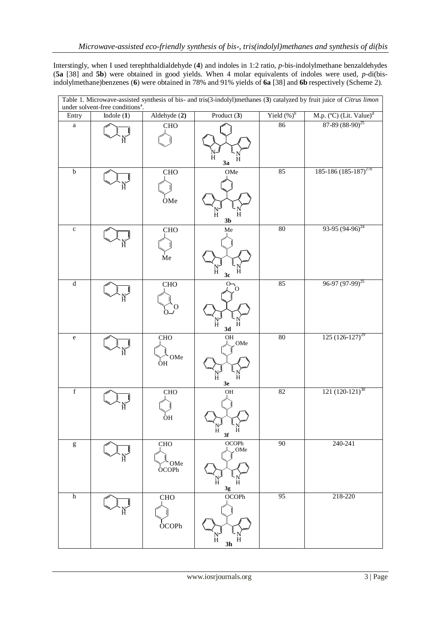Interstingly, when I used terephthaldialdehyde (**4**) and indoles in 1:2 ratio, *p*-bis-indolylmethane benzaldehydes (**5a** [38] and **5b**) were obtained in good yields. When 4 molar equivalents of indoles were used, *p*-di(bisindolylmethane)benzenes (**6**) were obtained in 78% and 91% yields of **6a** [38] and **6b** respectively (Scheme 2).

| Table 1. Microwave-assisted synthesis of bis- and tris(3-indolyl)methanes (3) catalyzed by fruit juice of <i>Citrus limon</i> under solvent-free conditions <sup>a</sup> .                                                                                                                                                                                                                                                     |              |                               |                                                  |                 |                                                                             |  |
|--------------------------------------------------------------------------------------------------------------------------------------------------------------------------------------------------------------------------------------------------------------------------------------------------------------------------------------------------------------------------------------------------------------------------------|--------------|-------------------------------|--------------------------------------------------|-----------------|-----------------------------------------------------------------------------|--|
| Entry                                                                                                                                                                                                                                                                                                                                                                                                                          | Indole $(1)$ | Aldehyde (2)                  | Product (3)                                      | Yield $(\%)^b$  | M.p. $(^{\circ}C)$ (Lit. Value) <sup>d</sup><br>87-89 (88-90) <sup>25</sup> |  |
| $\rm{a}$                                                                                                                                                                                                                                                                                                                                                                                                                       |              | <b>CHO</b>                    | $\rm{H}$<br>Н<br>3a                              | 86              |                                                                             |  |
| $\bf b$                                                                                                                                                                                                                                                                                                                                                                                                                        |              | <b>CHO</b><br>OMe             | OMe<br>N<br>H<br>H<br>3 <sub>b</sub>             | 85              | $185-186(185-187)^{27b}$                                                    |  |
| $\mathbf{C}$                                                                                                                                                                                                                                                                                                                                                                                                                   |              | CHO<br>Me                     | Me<br>$_{\rm H}^{\rm N}$<br>H<br>3c              | 80              | $93-95(94-96)^{24}$                                                         |  |
| $\overline{\mathrm{d}}$                                                                                                                                                                                                                                                                                                                                                                                                        |              | CHO<br>Ő                      | O-<br>O<br>$\rm{H}$<br>H<br>3d                   | 85              | $96-97(97-99)^{25}$                                                         |  |
| ${\bf e}$                                                                                                                                                                                                                                                                                                                                                                                                                      |              | CHO<br>OMe<br>$\overline{OH}$ | OH<br>OMe<br>$\frac{1}{H}$<br>H<br>$3\mathrm{e}$ | 80              | $125(126-127)^{29}$                                                         |  |
| $\mathbf f$                                                                                                                                                                                                                                                                                                                                                                                                                    |              | CHO<br><b>OH</b>              | OH<br>Ħ<br>Ħ<br>3f                               | 82              | $121 (120-121)^{30}$                                                        |  |
| $\mathbf{g}% _{T}=\mathbf{g}_{T}=\mathbf{g}_{T}=\mathbf{g}_{T}=\mathbf{g}_{T}=\mathbf{g}_{T}=\mathbf{g}_{T}=\mathbf{g}_{T}=\mathbf{g}_{T}=\mathbf{g}_{T}=\mathbf{g}_{T}=\mathbf{g}_{T}=\mathbf{g}_{T}=\mathbf{g}_{T}=\mathbf{g}_{T}=\mathbf{g}_{T}=\mathbf{g}_{T}=\mathbf{g}_{T}=\mathbf{g}_{T}=\mathbf{g}_{T}=\mathbf{g}_{T}=\mathbf{g}_{T}=\mathbf{g}_{T}=\mathbf{g}_{T}=\mathbf{g}_{T}=\mathbf{g}_{T}=\mathbf{g}_{T}=\math$ |              | ${\rm CHO}$<br>OMe<br>OCOPh   | OCOPh<br>OMe<br>$\frac{N}{H}$<br>H<br>$3g$       | $\overline{90}$ | 240-241                                                                     |  |
| $\,h$                                                                                                                                                                                                                                                                                                                                                                                                                          |              | ${\rm CHO}$<br><b>OCOPh</b>   | OCOPh<br>N<br>H<br>3 <sub>h</sub>                | $\overline{95}$ | 218-220                                                                     |  |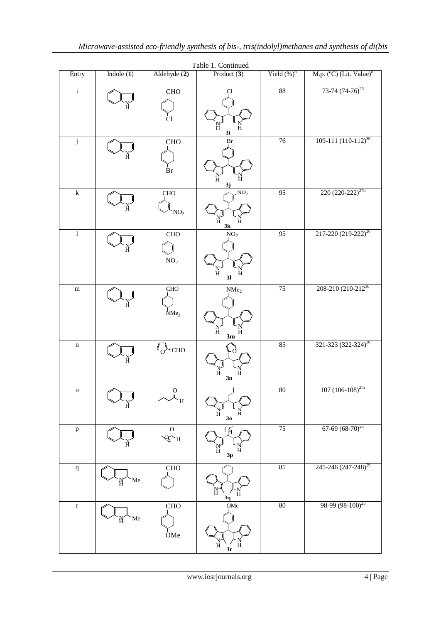| Table 1. Continued     |              |                               |                                                              |                 |                                     |  |  |
|------------------------|--------------|-------------------------------|--------------------------------------------------------------|-----------------|-------------------------------------|--|--|
| Entry                  | Indole $(1)$ | Aldehyde (2)                  | Product $(3)$                                                | Yield $(\%)^b$  | M.p. (°C) (Lit. Value) <sup>d</sup> |  |  |
| $\mathbf{i}$           |              | <b>CHO</b><br>Сl              | Cl<br>N<br>H<br>Ħ<br>3i                                      | $88\,$          | 73-74 $(74-76)^{26}$                |  |  |
| $\mathbf j$            |              | CHO<br>$\rm Br$               | Br<br>$_{\rm H}^{\rm N}$<br>Ħ<br>3j                          | 76              | $109-111(110-112)^{30}$             |  |  |
| $\overline{\mathbf k}$ |              | <b>CHO</b><br>NO <sub>2</sub> | NO <sub>2</sub><br>N<br>H<br>Ħ<br>3k                         | $\overline{95}$ | $220(220-222)^{27b}$                |  |  |
| $\overline{1}$         |              | <b>CHO</b><br>NO <sub>2</sub> | NO <sub>2</sub><br>$_{\rm H}^{\rm N}$<br>Ħ<br>3 <sub>l</sub> | $\overline{95}$ | 217-220 (219-222) <sup>26</sup>     |  |  |
| ${\bf m}$              |              | CHO<br>NMe <sub>2</sub>       | NMe <sub>2</sub><br>N<br>H<br>Ħ<br>3m                        | 75              | 208-210 (210-212 <sup>30</sup>      |  |  |
| $\mathbf n$            |              | $\langle 0 \rangle$ CHO       | $_{\rm H}^{\rm N}$<br>H<br>3n                                | 85              | 321-323 (322-324) <sup>30</sup>     |  |  |
| $\mathbf 0$            |              | $\mathbf O$<br>$\mathbf{H}'$  | $_{\rm H}^{\rm N}$<br>H<br>30                                | 80              | $107(106-108)^{27a}$                |  |  |
| $\, {\bf p}$           |              | $\frac{0}{4}$ H               | Ħ<br>Н<br>$3p$                                               | 75              | $67-69$ $(68-70)^{25}$              |  |  |
| $\mathbf q$            | Me           | CHO                           | Ħ<br>H<br>3q                                                 | 85              | 245-246 (247-248) <sup>29</sup>     |  |  |
| $\mathbf r$            | Me           | <b>CHO</b><br>OMe             | OMe<br>Ħ<br>3r                                               | 80              | $98-99(98-100)^{25}$                |  |  |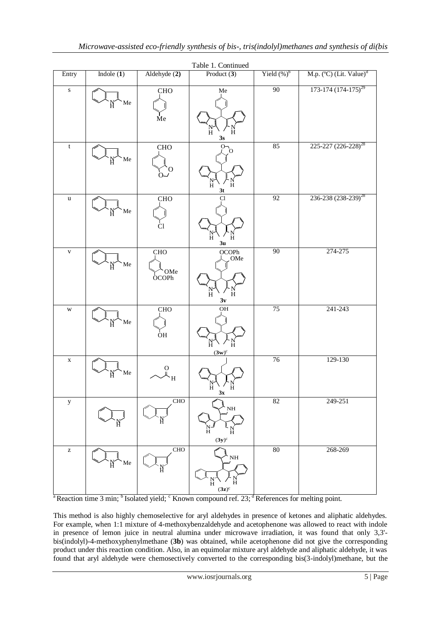| Table 1. Continued                                    |              |                                                         |                                                                 |                 |                                     |  |  |
|-------------------------------------------------------|--------------|---------------------------------------------------------|-----------------------------------------------------------------|-----------------|-------------------------------------|--|--|
| Entry                                                 | Indole $(1)$ | Aldehyde (2)                                            | Product $(3)$                                                   | Yield $(\%)^b$  | M.p. (°C) (Lit. Value) <sup>d</sup> |  |  |
| ${\bf S}$                                             | Me           | CHO<br>Me                                               | ${\rm Me}$<br>$\frac{N}{H}$<br>H<br>$3s$                        | 90              | $173-174(174-175)^{29}$             |  |  |
| $\mathbf t$                                           | Me           | <b>CHO</b><br>Ő<br>റ്                                   | $\overline{O}_{0}$<br>Ħ<br>Ħ<br>3t                              | 85              | 225-227 (226-228) <sup>28</sup>     |  |  |
| $\mathbf u$                                           | Me           | ${\rm CHO}$<br>Cl                                       | Cl<br>N<br>H<br>Н<br>3 <sub>u</sub>                             | $\overline{92}$ | 236-238 (238-239) <sup>28</sup>     |  |  |
| $\mathbf{V}$                                          | Me           | CHO<br>OMe<br>OCOPh                                     | OCOPh<br>OMe<br>$\frac{N}{H}$<br>$\ddot{H}$<br>3v               | 90              | 274-275                             |  |  |
| $\mathbf W$                                           | Me           | CHO<br>$\overline{O}$ H                                 | $\overline{OH}$<br>$_{\rm H}^{\rm N}$<br>$\ddot{H}$<br>$(3w)^c$ | 75              | 241-243                             |  |  |
| $\mathbf X$                                           | Me           | $_{\mathsf{u}}^{\mathrm{O}}$<br>$\overline{\mathbf{H}}$ | Н<br>Н<br>3х                                                    | 76              | 129-130                             |  |  |
| $\mathbf y$                                           |              | CHO                                                     | $\rm NH$<br>Ħ<br>Ħ<br>$(3y)^c$                                  | $\overline{82}$ | 249-251                             |  |  |
| $\mathbf{Z}% ^{T}=\mathbf{Z}^{T}\times\mathbf{Z}^{T}$ | Me           | <b>CHO</b>                                              | $\rm NH$<br>$\frac{\text{N}}{\text{H}}$<br>Ħ<br>$(3z)^c$        | 80              | 268-269                             |  |  |

 $a<sup>a</sup>$  Reaction time 3 min;  $b<sup>b</sup>$  Isolated yield;  $c<sup>c</sup>$  Known compound ref. 23;  $d<sup>d</sup>$  References for melting point.

This method is also highly chemoselective for aryl aldehydes in presence of ketones and aliphatic aldehydes. For example, when 1:1 mixture of 4-methoxybenzaldehyde and acetophenone was allowed to react with indole in presence of lemon juice in neutral alumina under microwave irradiation, it was found that only 3,3' bis(indolyl)-4-methoxyphenylmethane (**3b**) was obtained, while acetophenone did not give the corresponding product under this reaction condition. Also, in an equimolar mixture aryl aldehyde and aliphatic aldehyde, it was found that aryl aldehyde were chemosectively converted to the corresponding bis(3-indolyl)methane, but the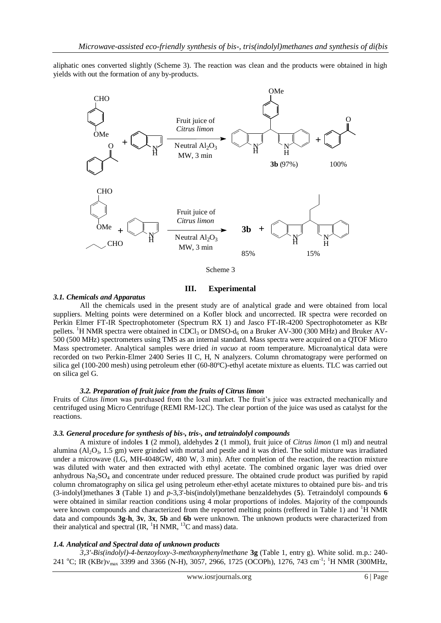aliphatic ones converted slightly (Scheme 3). The reaction was clean and the products were obtained in high yields with out the formation of any by-products.



Scheme 3

# **III. Experimental**

#### *3.1. Chemicals and Apparatus*

All the chemicals used in the present study are of analytical grade and were obtained from local suppliers. Melting points were determined on a Kofler block and uncorrected. IR spectra were recorded on Perkin Elmer FT-IR Spectrophotometer (Spectrum RX 1) and Jasco FT-IR-4200 Spectrophotometer as KBr pellets. <sup>1</sup>H NMR spectra were obtained in CDCl<sub>3</sub> or DMSO-d<sub>6</sub> on a Bruker AV-300 (300 MHz) and Bruker AV-500 (500 MHz) spectrometers using TMS as an internal standard. Mass spectra were acquired on a QTOF Micro Mass spectrometer. Analytical samples were dried *in vacuo* at room temperature. Microanalytical data were recorded on two Perkin-Elmer 2400 Series II C, H, N analyzers. Column chromatograpy were performed on silica gel (100-200 mesh) using petroleum ether (60-80ºC)-ethyl acetate mixture as eluents. TLC was carried out on silica gel G.

#### *3.2. Preparation of fruit juice from the fruits of Citrus limon*

Fruits of *Citus limon* was purchased from the local market. The fruit's juice was extracted mechanically and centrifuged using Micro Centrifuge (REMI RM-12C). The clear portion of the juice was used as catalyst for the reactions.

### *3.3. General procedure for synthesis of bis-, tris-, and tetraindolyl compounds*

A mixture of indoles **1** (2 mmol), aldehydes **2** (1 mmol), fruit juice of *Citrus limon* (1 ml) and neutral alumina  $(A<sub>1</sub>O<sub>3</sub>, 1.5$  gm) were grinded with mortal and pestle and it was dried. The solid mixture was irradiated under a microwave (LG, MH-4048GW, 480 W, 3 min). After completion of the reaction, the reaction mixture was diluted with water and then extracted with ethyl acetate. The combined organic layer was dried over anhydrous  $Na<sub>2</sub>SO<sub>4</sub>$  and concentrate under reduced pressure. The obtained crude product was purified by rapid column chromatography on silica gel using petroleum ether-ethyl acetate mixtures to obtained pure bis- and tris (3-indolyl)methanes **3** (Table 1) and *p*-3,3'-bis(indolyl)methane benzaldehydes (**5**). Tetraindolyl compounds **6** were obtained in similar reaction conditions using 4 molar proportions of indoles. Majority of the compounds were known compounds and characterized from the reported melting points (reffered in Table 1) and  ${}^{1}H$  NMR data and compounds **3g**-**h**, **3v**, **3x**, **5b** and **6b** were unknown. The unknown products were characterized from their analytical and spectral  $(IR, {}^{1}H NMR, {}^{13}C$  and mass) data.

#### *1.4. Analytical and Spectral data of unknown products*

*3,3'-Bis(indolyl)-4-benzoyloxy-3-methoxyphenylmethane* **3g** (Table 1, entry g). White solid. m.p.: 240- 241 °C; IR (KBr) $v_{\text{max}}$  3399 and 3366 (N-H), 3057, 2966, 1725 (OCOPh), 1276, 743 cm<sup>-1</sup>; <sup>1</sup>H NMR (300MHz,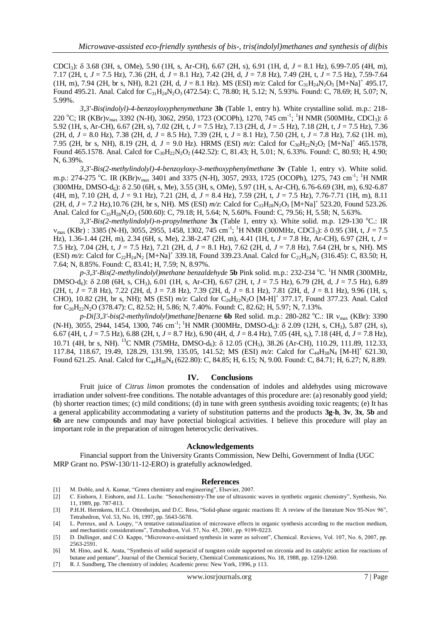CDCl3): 3.68 (3H, s, OMe), 5.90 (1H, s, Ar-CH), 6.67 (2H, s), 6.91 (1H, d, *J* = 8.1 Hz), 6.99-7.05 (4H, m), 7.17 (2H, t, *J* = 7.5 Hz), 7.36 (2H, d, *J* = 8.1 Hz), 7.42 (2H, d, *J* = 7.8 Hz), 7.49 (2H, t, *J* = 7.5 Hz), 7.59-7.64 (1H, m), 7.94 (2H, br s, NH), 8.21 (2H, d,  $J = 8.1$  Hz). MS (ESI)  $m/z$ : Calcd for C<sub>31</sub>H<sub>24</sub>N<sub>2</sub>O<sub>3</sub> [M+Na]<sup>+</sup> 495.17, Found 495.21. Anal. Calcd for C<sub>31</sub>H<sub>24</sub>N<sub>2</sub>O<sub>3</sub> (472.54): C, 78.80; H, 5.12; N, 5.93%. Found: C, 78.69; H, 5.07; N, 5.99%.

*3,3'-Bis(indolyl)-4-benzoyloxyphenymethane* **3h** (Table 1, entry h). White crystalline solid. m.p.: 218- 220 °C; IR (KBr) $v_{\text{max}}$  3392 (N-H), 3062, 2950, 1723 (OCOPh), 1270, 745 cm<sup>-1</sup>; <sup>1</sup>H NMR (500MHz, CDCl<sub>3</sub>):  $\delta$ 5.92 (1H, s, Ar-CH), 6.67 (2H, s), 7.02 (2H, t, *J* = 7.5 Hz), 7.13 (2H, d, *J* = .5 Hz), 7.18 (2H, t, *J* = 7.5 Hz), 7.36 (2H, d, *J* = 8.0 Hz), 7.38 (2H, d, *J* = 8.5 Hz), 7.39 (2H, t, *J* = 8.1 Hz), 7.50 (2H, t, *J* = 7.8 Hz), 7.62 (1H. m), 7.95 (2H, br s, NH), 8.19 (2H, d,  $J = 9.0$  Hz). HRMS (ESI)  $m/z$ : Calcd for C<sub>30</sub>H<sub>22</sub>N<sub>2</sub>O<sub>2</sub> [M+Na]<sup>+</sup> 465.1578, Found 465.1578. Anal. Calcd for C<sub>30</sub>H<sub>22</sub>N<sub>2</sub>O<sub>2</sub> (442.52): C, 81.43; H, 5.01; N, 6.33%. Found: C, 80.93; H, 4.90; N, 6.39%.

*3,3'-Bis(2-methylindolyl)-4-benzoyloxy-3-methoxyphenylmethane* **3v** (Table 1, entry v). White solid. m.p.: 274-275 °C. IR (KBr)v<sub>max</sub> 3401 and 3375 (N-H), 3057, 2933, 1725 (OCOPh), 1275, 743 cm<sup>-1</sup>; <sup>1</sup>H NMR (300MHz, DMSO-d<sub>6</sub>):  $\delta$  2.50 (6H, s, Me), 3.55 (3H, s, OMe), 5.97 (1H, s, Ar-CH), 6.76-6.69 (3H, m), 6.92-6.87 (4H, m), 7.10 (2H, d, *J* = 9.1 Hz), 7.21 (2H, d, *J* = 8.4 Hz), 7.59 (2H, t, *J* = 7.5 Hz), 7.76-7.71 (1H, m), 8.11  $(2H, d, J = 7.2 \text{ Hz})$ ,10.76 (2H, br s, NH). MS (ESI)  $m/z$ : Calcd for C<sub>33</sub>H<sub>28</sub>N<sub>2</sub>O<sub>3</sub> [M+Na]<sup>+</sup> 523.20, Found 523.26. Anal. Calcd for C<sub>33</sub>H<sub>28</sub>N<sub>2</sub>O<sub>3</sub> (500.60): C, 79.18; H, 5.64; N, 5.60%. Found: C, 79.56; H, 5.58; N, 5.63%.

3,3'-Bis(2-methylindolyl)-n-propylmethane 3x (Table 1, entry x). White solid. m.p. 129-130 °C.: IR  $v_{\text{max}}$  (KBr) : 3385 (N-H), 3055, 2955, 1458, 1302, 745 cm<sup>-1</sup>; <sup>1</sup>H NMR (300MHz, CDCl<sub>3</sub>):  $\delta$  0.95 (3H, t, *J* = 7.5 Hz), 1.36-1.44 (2H, m), 2.34 (6H, s, Me), 2.38-2.47 (2H, m), 4.41 (1H, t, *J* = 7.8 Hz, Ar-CH), 6.97 (2H, t, *J* = 7.5 Hz), 7.04 (2H, t, *J* = 7.5 Hz), 7.21 (2H, d, *J* = 8.1 Hz), 7.62 (2H, d, *J* = 7.8 Hz), 7.64 (2H, br s, NH). MS (ESI)  $m/z$ : Calcd for C<sub>22</sub>H<sub>24</sub>N<sub>2</sub> [M+Na]<sup>+</sup> 339.18, Found 339.23.Anal. Calcd for C<sub>22</sub>H<sub>24</sub>N<sub>2</sub> (316.45): C, 83.50; H, 7.64; N, 8.85%. Found: C, 83.41; H, 7.59; N, 8.97%.

p-3,3'-Bis(2-methylindolyl)methane benzaldehyde **5b** Pink solid. m.p.: 232-234 °C. <sup>1</sup>H NMR (300MHz, DMSO-d6): 2.08 (6H, s, CH3), 6.01 (1H, s, Ar-CH), 6.67 (2H, t, *J* = 7.5 Hz), 6.79 (2H, d, *J* = 7.5 Hz), 6.89  $(2H, t, J = 7.8 \text{ Hz})$ , 7.22 (2H, d, J = 7.8 Hz), 7.39 (2H, d, J = 8.1 Hz), 7.81 (2H, d, J = 8.1 Hz), 9.96 (1H, s, CHO), 10.82 (2H, br s, NH); MS (ESI)  $m/z$ : Calcd for C<sub>26</sub>H<sub>22</sub>N<sub>2</sub>O [M-H]<sup>+</sup> 377.17, Found 377.23. Anal. Calcd for  $C_{26}H_{22}N_2O$  (378.47): C, 82.52; H, 5.86; N, 7.40%. Found: C, 82.62; H, 5.97; N, 7.13%.

*p-Di[3,3'-bis(2-methylindolyl)methane]benzene* **6b** Red solid. m.p.: 280-282 °C.: IR  $v_{\text{max}}$  (KBr): 3390  $(N-H)$ , 3055, 2944, 1454, 1300, 746 cm<sup>-1</sup>; <sup>1</sup>H NMR (300MHz, DMSO-d<sub>6</sub>):  $\delta$  2.09 (12H, s, CH<sub>3</sub>), 5.87 (2H, s), 6.67 (4H, t, *J* = 7.5 Hz), 6.88 (2H, t, *J* = 8.7 Hz), 6.90 (4H, d, *J* = 8.4 Hz), 7.05 (4H, s,), 7.18 (4H, d, *J* = 7.8 Hz), 10.71 (4H, br s, NH). <sup>13</sup>C NMR (75MHz, DMSO-d<sub>6</sub>): δ 12.05 (CH<sub>3</sub>), 38.26 (Ar-CH), 110.29, 111.89, 112.33, 117.84, 118.67, 19.49, 128.29, 131.99, 135.05, 141.52; MS (ESI)  $m/z$ : Calcd for C<sub>44</sub>H<sub>38</sub>N<sub>4</sub> [M-H]<sup>+</sup> 621.30, Found 621.25. Anal. Calcd for C<sub>44</sub>H<sub>38</sub>N<sub>4</sub> (622.80): C, 84.85; H, 6.15; N, 9.00. Found: C, 84.71; H, 6.27; N, 8.89.

#### **IV. Conclusions**

Fruit juice of *Citrus limon* promotes the condensation of indoles and aldehydes using microwave irradiation under solvent-free conditions. The notable advantages of this procedure are: (a) resonably good yield; (b) shorter reaction times; (c) mild conditions; (d) in tune with green synthesis avoiding toxic reagents; (e) It has a general applicability accommodating a variety of substitution patterns and the products **3g**-**h**, **3v**, **3x**, **5b** and **6b** are new compounds and may have potectial biological activities. I believe this procedure will play an important role in the preparation of nitrogen heterocyclic derivatives.

#### **Acknowledgements**

Financial support from the University Grants Commission, New Delhi, Government of India (UGC MRP Grant no. PSW-130/11-12-ERO) is gratefully acknowledged.

#### **References**

- 
- [1] M. Doble, and A. Kumar, "Green chemistry and engineering", Elsevier, 2007.<br>[2] C. Einhorn, J. Einhorn, and J.L. Luche. "Sonochemistry-The use of ultrasonic [2] C. Einhorn, J. Einhorn, and J.L. Luche. "Sonochemistry-The use of ultrasonic waves in synthetic organic chemistry", Synthesis, No. 11, 1989, pp. 787-813.
- [3] P.H.H. Hermkens, H.C.J. Ottenheijm, and D.C. Ress, "Solid-phase organic reactions II: A review of the literature Nov 95-Nov 96", Tetrahedron, Vol. 53, No. 16, 1997, pp. 5643-5678.
- [4] L. Perreux, and A. Loupy, "A tentative rationalization of microwave effects in organic synthesis according to the reaction medium, and mechanistic considerations", Tetrahedron, Vol. 57, No. 45, 2001, pp. 9199-9223.
- [5] D. Dallinger, and C.O. Kappe, "Microwave-assistaed synthesis in water as solvent", Chemical. Reviews, Vol. 107, No. 6, 2007, pp. 2563-2591.
- [6] M. Hino, and K. Arata, ["Synthesis of solid superacid of tungsten oxide supported on zirconia and its catalytic action for reactions of](http://pubs.rsc.org/en/content/articlelanding/1988/c3/c39880001259)  [butane and pentane"](http://pubs.rsc.org/en/content/articlelanding/1988/c3/c39880001259), Journal of the Chemical Society, Chemical Communications*,* No. 18, 1988, pp. 1259-1260.
- [7] R. J. Sundberg, The chemistry of indoles; Academic press: New York*,* 1996, p 113.